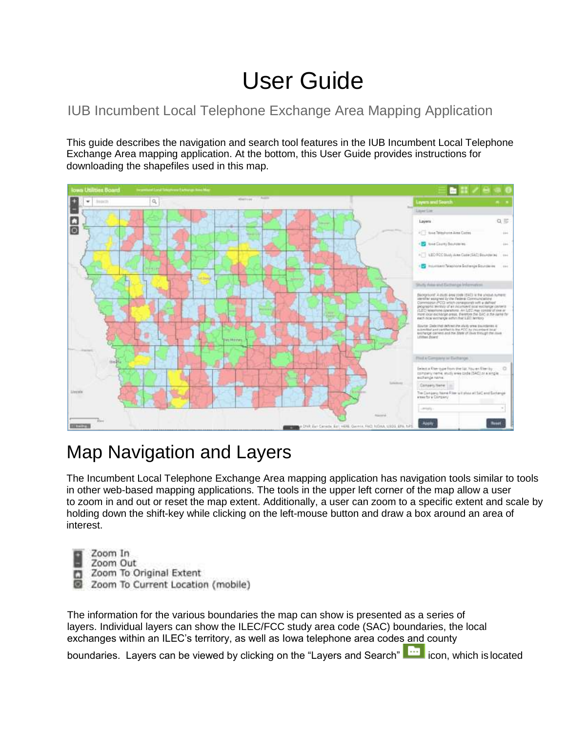# User Guide

#### IUB Incumbent Local Telephone Exchange Area Mapping Application

This guide describes the navigation and search tool features in the IUB Incumbent Local Telephone Exchange Area mapping application. At the bottom, this User Guide provides instructions for downloading the shapefiles used in this map.



## Map Navigation and Layers

The Incumbent Local Telephone Exchange Area mapping application has navigation tools similar to tools in other web-based mapping applications. The tools in the upper left corner of the map allow a user to zoom in and out or reset the map extent. Additionally, a user can zoom to a specific extent and scale by holding down the shift-key while clicking on the left-mouse button and draw a box around an area of interest.

- Zoom In
- Zoom Out
- Zoom To Original Extent C
- Zoom To Current Location (mobile)

The information for the various boundaries the map can show is presented as a series of layers. Individual layers can show the ILEC/FCC study area code (SAC) boundaries, the local exchanges within an ILEC's territory, as well as Iowa telephone area codes and county

boundaries. Layers can be viewed by clicking on the "Layers and Search" icon, which is located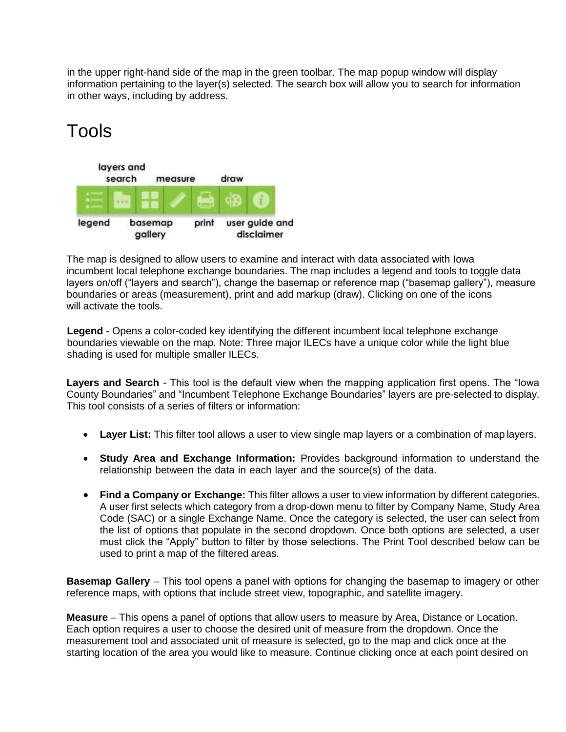in the upper right-hand side of the map in the green toolbar. The map popup window will display information pertaining to the layer(s) selected. The search box will allow you to search for information in other ways, including by address.

## Tools



The map is designed to allow users to examine and interact with data associated with Iowa incumbent local telephone exchange boundaries. The map includes a legend and tools to toggle data layers on/off ("layers and search"), change the basemap or reference map ("basemap gallery"), measure boundaries or areas (measurement), print and add markup (draw). Clicking on one of the icons will activate the tools.

**Legend** - Opens a color-coded key identifying the different incumbent local telephone exchange boundaries viewable on the map. Note: Three major ILECs have a unique color while the light blue shading is used for multiple smaller ILECs.

**Layers and Search** - This tool is the default view when the mapping application first opens. The "Iowa County Boundaries" and "Incumbent Telephone Exchange Boundaries" layers are pre-selected to display. This tool consists of a series of filters or information:

- **Layer List:** This filter tool allows a user to view single map layers or a combination of map layers.
- **Study Area and Exchange Information:** Provides background information to understand the relationship between the data in each layer and the source(s) of the data.
- **Find a Company or Exchange:** This filter allows a user to view information by different categories. A user first selects which category from a drop-down menu to filter by Company Name, Study Area Code (SAC) or a single Exchange Name. Once the category is selected, the user can select from the list of options that populate in the second dropdown. Once both options are selected, a user must click the "Apply" button to filter by those selections. The Print Tool described below can be used to print a map of the filtered areas.

**Basemap Gallery** – This tool opens a panel with options for changing the basemap to imagery or other reference maps, with options that include street view, topographic, and satellite imagery.

**Measure** – This opens a panel of options that allow users to measure by Area, Distance or Location. Each option requires a user to choose the desired unit of measure from the dropdown. Once the measurement tool and associated unit of measure is selected, go to the map and click once at the starting location of the area you would like to measure. Continue clicking once at each point desired on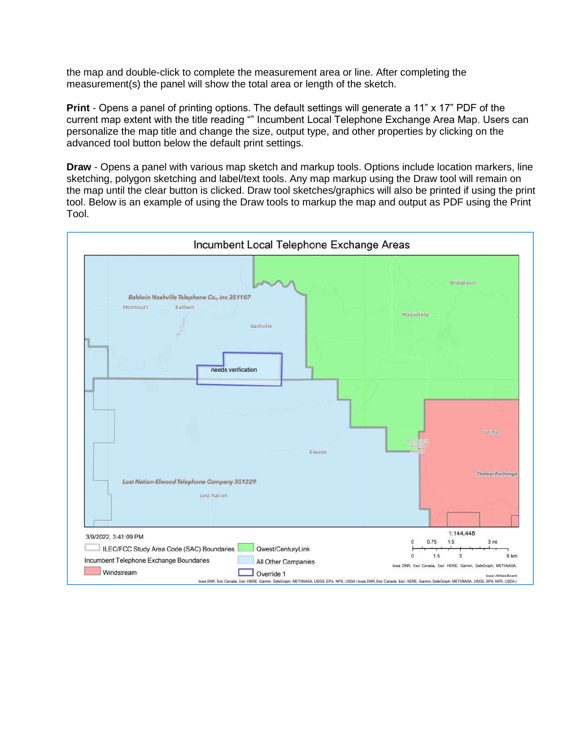the map and double-click to complete the measurement area or line. After completing the measurement(s) the panel will show the total area or length of the sketch.

**Print** - Opens a panel of printing options. The default settings will generate a 11" x 17" PDF of the current map extent with the title reading "" Incumbent Local Telephone Exchange Area Map. Users can personalize the map title and change the size, output type, and other properties by clicking on the advanced tool button below the default print settings.

**Draw** - Opens a panel with various map sketch and markup tools. Options include location markers, line sketching, polygon sketching and label/text tools. Any map markup using the Draw tool will remain on the map until the clear button is clicked. Draw tool sketches/graphics will also be printed if using the print tool. Below is an example of using the Draw tools to markup the map and output as PDF using the Print Tool.

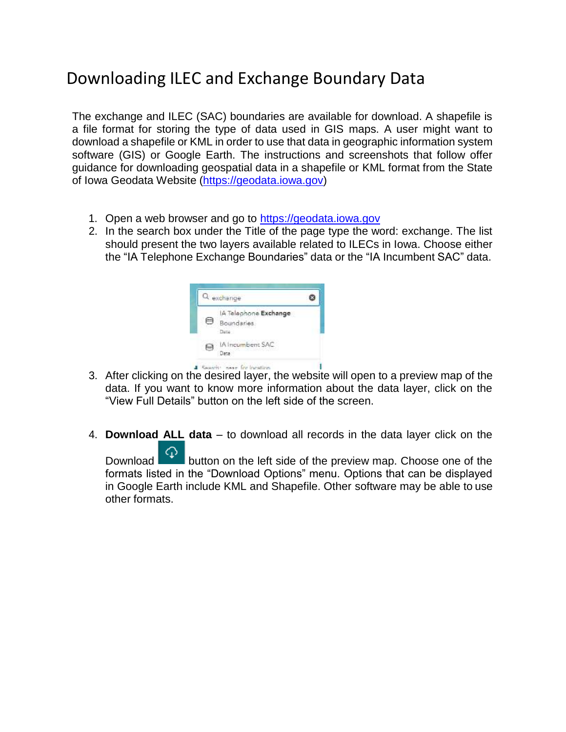#### Downloading ILEC and Exchange Boundary Data

The exchange and ILEC (SAC) boundaries are available for download. A shapefile is a file format for storing the type of data used in GIS maps. A user might want to download a shapefile or KML in order to use that data in geographic information system software (GIS) or Google Earth. The instructions and screenshots that follow offer guidance for downloading geospatial data in a shapefile or KML format from the State of Iowa Geodata Website [\(https://geodata.iowa.gov\)](https://geodata.iowa.gov/)

- 1. Open a web browser and go to [https://geodata.iowa.gov](https://geodata.iowa.gov/)
- 2. In the search box under the Title of the page type the word: exchange. The list should present the two layers available related to ILECs in Iowa. Choose either the "IA Telephone Exchange Boundaries" data or the "IA Incumbent SAC" data.



- 3. After clicking on the desired layer, the website will open to a preview map of the data. If you want to know more information about the data layer, click on the "View Full Details" button on the left side of the screen.
- 4. **Download ALL data**  to download all records in the data layer click on the

Download  $\boxed{\textcircled{1}}$  button on the left side of the preview map. Choose one of the formats listed in the "Download Options" menu. Options that can be displayed in Google Earth include KML and Shapefile. Other software may be able to use other formats.